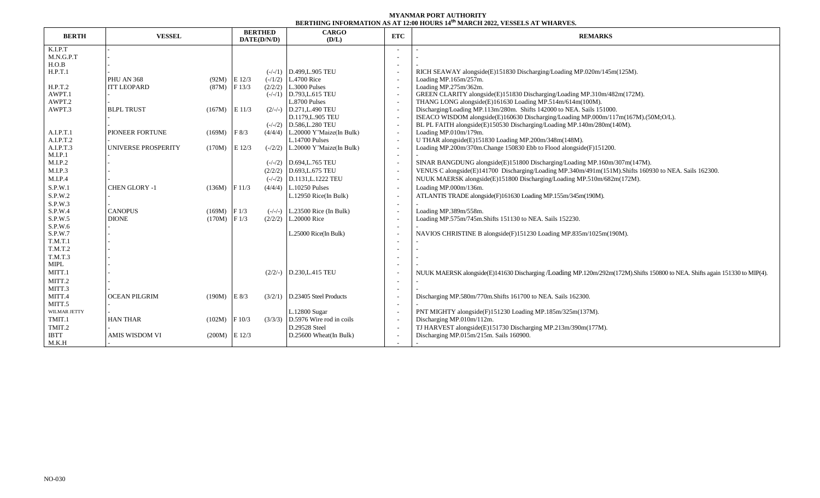## **MYANMAR PORT AUTHORITY BERTHING INFORMATION AS AT 12:00 HOURS 14 th MARCH 2022, VESSELS AT WHARVES.**

| <b>BERTH</b> | <b>VESSEL</b>         |                 | <b>BERTHED</b><br>DATE(D/N/D) |         | <b>CARGO</b><br>(D/L)              | ETC                      | <b>REMARKS</b>                                                                                                              |  |  |  |  |
|--------------|-----------------------|-----------------|-------------------------------|---------|------------------------------------|--------------------------|-----------------------------------------------------------------------------------------------------------------------------|--|--|--|--|
| K.I.P.T      |                       |                 |                               |         |                                    |                          |                                                                                                                             |  |  |  |  |
| M.N.G.P.T    |                       |                 |                               |         |                                    |                          |                                                                                                                             |  |  |  |  |
| H.O.B        |                       |                 |                               |         |                                    |                          |                                                                                                                             |  |  |  |  |
| H.P.T.1      |                       |                 |                               |         | $(-/-/1)$ D.499.L.905 TEU          |                          | RICH SEAWAY alongside(E)151830 Discharging/Loading MP.020m/145m(125M).                                                      |  |  |  |  |
|              | <b>PHU AN 368</b>     | $(92M)$ E 12/3  |                               |         | $(-/1/2)$ L.4700 Rice              |                          | Loading MP.165m/257m.                                                                                                       |  |  |  |  |
| H.P.T.2      | <b>ITT LEOPARD</b>    | (87M)           | F13/3                         |         | $(2/2/2)$ L.3000 Pulses            |                          | Loading MP.275m/362m.                                                                                                       |  |  |  |  |
| AWPT.1       |                       |                 |                               |         | $(-/-/1)$ D.793, L.615 TEU         |                          | GREEN CLARITY alongside(E)151830 Discharging/Loading MP.310m/482m(172M).                                                    |  |  |  |  |
| AWPT.2       |                       |                 |                               |         | L.8700 Pulses                      |                          | THANG LONG alongside(E)161630 Loading MP.514m/614m(100M).                                                                   |  |  |  |  |
| AWPT.3       | <b>BLPL TRUST</b>     | $(167M)$ E 11/3 |                               |         | $(2/-/-)$ D.271.L.490 TEU          |                          | Discharging/Loading MP.113m/280m. Shifts 142000 to NEA. Sails 151000.                                                       |  |  |  |  |
|              |                       |                 |                               |         | D.1179, L.905 TEU                  | $\overline{\phantom{a}}$ | ISEACO WISDOM alongside(E)160630 Discharging/Loading MP.000m/117m(167M).(50M;O/L).                                          |  |  |  |  |
|              |                       |                 |                               |         | $(-/-/2)$ D.586, L.280 TEU         |                          | BL PL FAITH alongside(E)150530 Discharging/Loading MP.140m/280m(140M).                                                      |  |  |  |  |
| A.I.P.T.1    | PIONEER FORTUNE       | (169M)          | F 8/3                         |         | $(4/4/4)$ L.20000 Y'Maize(In Bulk) |                          | Loading MP.010m/179m.                                                                                                       |  |  |  |  |
| A.I.P.T.2    |                       |                 |                               |         | <b>L.14700 Pulses</b>              |                          | U THAR alongside(E)151830 Loading MP.200m/348m(148M).                                                                       |  |  |  |  |
| A.I.P.T.3    | UNIVERSE PROSPERITY   | (170M)          | $E$ 12/3                      |         | $(-2/2)$ L.20000 Y'Maize(In Bulk)  |                          | Loading MP.200m/370m.Change 150830 Ebb to Flood alongside(F)151200.                                                         |  |  |  |  |
| M.I.P.1      |                       |                 |                               |         |                                    |                          |                                                                                                                             |  |  |  |  |
| M.I.P.2      |                       |                 |                               |         | $(-/-/2)$ D.694, L.765 TEU         |                          | SINAR BANGDUNG alongside(E)151800 Discharging/Loading MP.160m/307m(147M).                                                   |  |  |  |  |
| M.I.P.3      |                       |                 |                               |         | $(2/2/2)$ D.693, L.675 TEU         |                          | VENUS C alongside(E)141700 Discharging/Loading MP.340m/491m(151M). Shifts 160930 to NEA. Sails 162300.                      |  |  |  |  |
| M.I.P.4      |                       |                 |                               |         | $(-/-/2)$ D.1131, L.1222 TEU       |                          | NUUK MAERSK alongside(E)151800 Discharging/Loading MP.510m/682m(172M).                                                      |  |  |  |  |
| S.P.W.1      | <b>CHEN GLORY -1</b>  | (136M)          | F11/3                         |         | $(4/4/4)$ L.10250 Pulses           |                          | Loading MP.000m/136m.                                                                                                       |  |  |  |  |
| S.P.W.2      |                       |                 |                               |         | L.12950 Rice(In Bulk)              |                          | ATLANTIS TRADE alongside(F)161630 Loading MP.155m/345m(190M).                                                               |  |  |  |  |
| S.P.W.3      |                       |                 |                               |         |                                    |                          |                                                                                                                             |  |  |  |  |
| S.P.W.4      | <b>CANOPUS</b>        | $(169M)$ F 1/3  |                               |         | $(-/-/-)$ L.23500 Rice (In Bulk)   |                          | Loading MP.389m/558m.                                                                                                       |  |  |  |  |
| S.P.W.5      | <b>DIONE</b>          | $(170M)$ F 1/3  |                               |         | $(2/2/2)$ L.20000 Rice             |                          | Loading MP.575m/745m.Shifts 151130 to NEA. Sails 152230.                                                                    |  |  |  |  |
| S.P.W.6      |                       |                 |                               |         |                                    |                          |                                                                                                                             |  |  |  |  |
| S.P.W.7      |                       |                 |                               |         | L.25000 Rice(In Bulk)              |                          | NAVIOS CHRISTINE B alongside(F)151230 Loading MP.835m/1025m(190M).                                                          |  |  |  |  |
| T.M.T.1      |                       |                 |                               |         |                                    |                          |                                                                                                                             |  |  |  |  |
| $T.M.T.2$    |                       |                 |                               |         |                                    |                          |                                                                                                                             |  |  |  |  |
| T.M.T.3      |                       |                 |                               |         |                                    |                          |                                                                                                                             |  |  |  |  |
| MIPL         |                       |                 |                               |         |                                    |                          |                                                                                                                             |  |  |  |  |
| MITT.1       |                       |                 |                               |         | $(2/2/-)$ D.230, L.415 TEU         |                          | NUUK MAERSK alongside(E)141630 Discharging /Loading MP.120m/292m(172M).Shifts 150800 to NEA. Shifts again 151330 to MIP(4). |  |  |  |  |
| MITT.2       |                       |                 |                               |         |                                    | $\overline{\phantom{a}}$ |                                                                                                                             |  |  |  |  |
| MITT.3       |                       |                 |                               |         |                                    |                          |                                                                                                                             |  |  |  |  |
| MITT.4       | <b>OCEAN PILGRIM</b>  | $(190M)$ E 8/3  |                               |         | $(3/2/1)$ D.23405 Steel Products   |                          | Discharging MP.580m/770m.Shifts 161700 to NEA. Sails 162300.                                                                |  |  |  |  |
| MITT.5       |                       |                 |                               |         |                                    |                          |                                                                                                                             |  |  |  |  |
| WILMAR JETTY |                       |                 |                               |         | L.12800 Sugar                      |                          | PNT MIGHTY alongside(F)151230 Loading MP.185m/325m(137M).                                                                   |  |  |  |  |
| TMIT.1       | <b>HAN THAR</b>       | (102M)          | F 10/3                        | (3/3/3) | D.5976 Wire rod in coils           |                          | Discharging MP.010m/112m.                                                                                                   |  |  |  |  |
| TMIT.2       |                       |                 |                               |         | D.29528 Steel                      |                          | TJ HARVEST alongside(E)151730 Discharging MP.213m/390m(177M).                                                               |  |  |  |  |
| <b>IBTT</b>  | <b>AMIS WISDOM VI</b> | (200M)          | E 12/3                        |         | D.25600 Wheat(In Bulk)             |                          | Discharging MP.015m/215m. Sails 160900.                                                                                     |  |  |  |  |
| M.K.H        |                       |                 |                               |         |                                    |                          |                                                                                                                             |  |  |  |  |